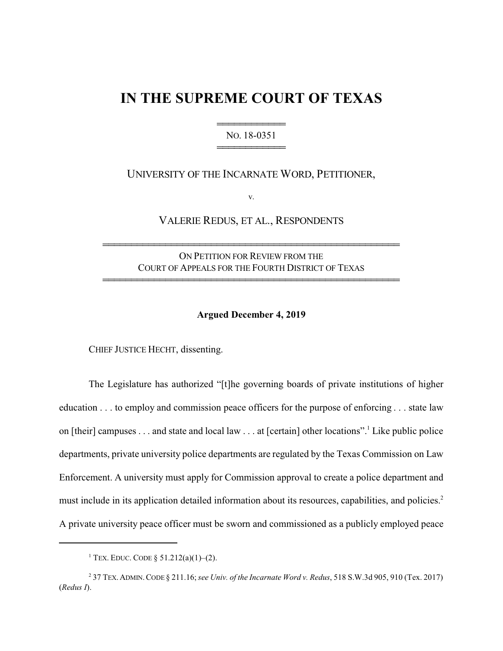## **IN THE SUPREME COURT OF TEXAS**

## 444444444444 NO. 18-0351 444444444444

## UNIVERSITY OF THE INCARNATE WORD, PETITIONER,

v.

VALERIE REDUS, ET AL., RESPONDENTS

ON PETITION FOR REVIEW FROM THE COURT OF APPEALS FOR THE FOURTH DISTRICT OF TEXAS

4444444444444444444444444444444444444444444444444444

4444444444444444444444444444444444444444444444444444

## **Argued December 4, 2019**

CHIEF JUSTICE HECHT, dissenting.

The Legislature has authorized "[t]he governing boards of private institutions of higher education . . . to employ and commission peace officers for the purpose of enforcing . . . state law on [their] campuses . . . and state and local law . . . at [certain] other locations".<sup>1</sup> Like public police departments, private university police departments are regulated by the Texas Commission on Law Enforcement. A university must apply for Commission approval to create a police department and must include in its application detailed information about its resources, capabilities, and policies.<sup>2</sup> A private university peace officer must be sworn and commissioned as a publicly employed peace

<sup>&</sup>lt;sup>1</sup> Tex. Educ. Code § 51.212(a)(1)–(2).

<sup>2</sup> 37 TEX.ADMIN.CODE § 211.16; *see Univ. of the Incarnate Word v. Redus*, 518 S.W.3d 905, 910 (Tex. 2017) (*Redus I*).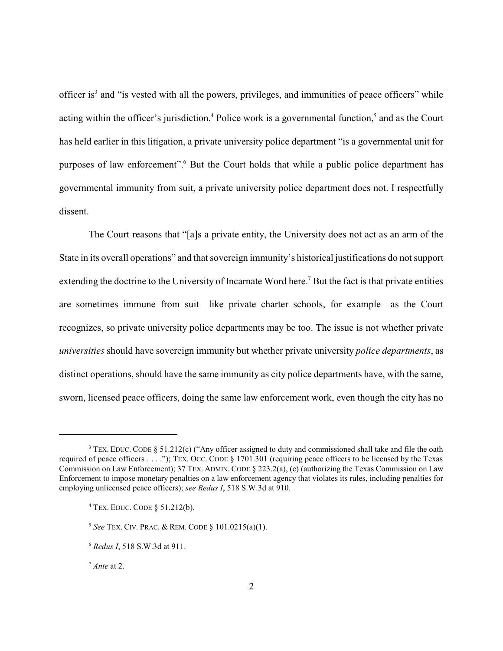officer is<sup>3</sup> and "is vested with all the powers, privileges, and immunities of peace officers" while acting within the officer's jurisdiction.<sup>4</sup> Police work is a governmental function,<sup>5</sup> and as the Court has held earlier in this litigation, a private university police department "is a governmental unit for purposes of law enforcement". But the Court holds that while a public police department has governmental immunity from suit, a private university police department does not. I respectfully dissent.

The Court reasons that "[a]s a private entity, the University does not act as an arm of the State in its overall operations" and that sovereign immunity's historical justifications do not support extending the doctrine to the University of Incarnate Word here.<sup>7</sup> But the fact is that private entities are sometimes immune from suit like private charter schools, for example as the Court recognizes, so private university police departments may be too. The issue is not whether private *universities* should have sovereign immunity but whether private university *police departments*, as distinct operations, should have the same immunity as city police departments have, with the same, sworn, licensed peace officers, doing the same law enforcement work, even though the city has no

<sup>&</sup>lt;sup>3</sup> TEX. EDUC. CODE § 51.212(c) ("Any officer assigned to duty and commissioned shall take and file the oath required of peace officers . . . ."); TEX. OCC. CODE § 1701.301 (requiring peace officers to be licensed by the Texas Commission on Law Enforcement); 37 TEX. ADMIN. CODE  $\S 223.2(a)$ , (c) (authorizing the Texas Commission on Law Enforcement to impose monetary penalties on a law enforcement agency that violates its rules, including penalties for employing unlicensed peace officers); *see Redus I*, 518 S.W.3d at 910.

<sup>4</sup> TEX. EDUC. CODE § 51.212(b).

<sup>5</sup> *See* TEX. CIV. PRAC. & REM. CODE § 101.0215(a)(1).

<sup>6</sup> *Redus I*, 518 S.W.3d at 911.

<sup>7</sup> *Ante* at 2.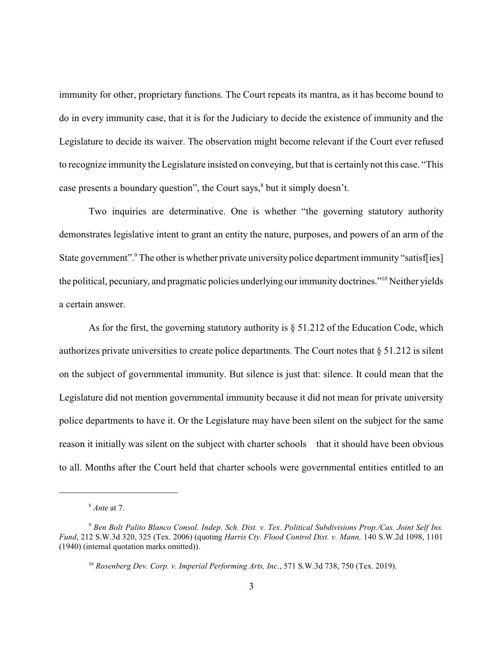immunity for other, proprietary functions. The Court repeats its mantra, as it has become bound to do in every immunity case, that it is for the Judiciary to decide the existence of immunity and the Legislature to decide its waiver. The observation might become relevant if the Court ever refused to recognize immunity the Legislature insisted on conveying, but that is certainly not this case. "This case presents a boundary question", the Court says, $\delta$  but it simply doesn't.

Two inquiries are determinative. One is whether "the governing statutory authority demonstrates legislative intent to grant an entity the nature, purposes, and powers of an arm of the State government".<sup>9</sup> The other is whether private university police department immunity "satisf[ies] the political, pecuniary, and pragmatic policies underlying our immunity doctrines."<sup>10</sup> Neither yields a certain answer.

As for the first, the governing statutory authority is  $\S$  51.212 of the Education Code, which authorizes private universities to create police departments. The Court notes that § 51.212 is silent on the subject of governmental immunity. But silence is just that: silence. It could mean that the Legislature did not mention governmental immunity because it did not mean for private university police departments to have it. Or the Legislature may have been silent on the subject for the same reason it initially was silent on the subject with charter schools that it should have been obvious to all. Months after the Court held that charter schools were governmental entities entitled to an

<sup>8</sup> *Ante* at 7.

<sup>9</sup> *Ben Bolt Palito Blanco Consol. Indep. Sch. Dist. v. Tex. Political Subdivisions Prop./Cas. Joint Self Ins. Fund*, 212 S.W.3d 320, 325 (Tex. 2006) (quoting *Harris Cty. Flood Control Dist. v. Mann,* 140 S.W.2d 1098, 1101 (1940) (internal quotation marks omitted)).

<sup>10</sup> *Rosenberg Dev. Corp. v. Imperial Performing Arts, Inc.*, 571 S.W.3d 738, 750 (Tex. 2019).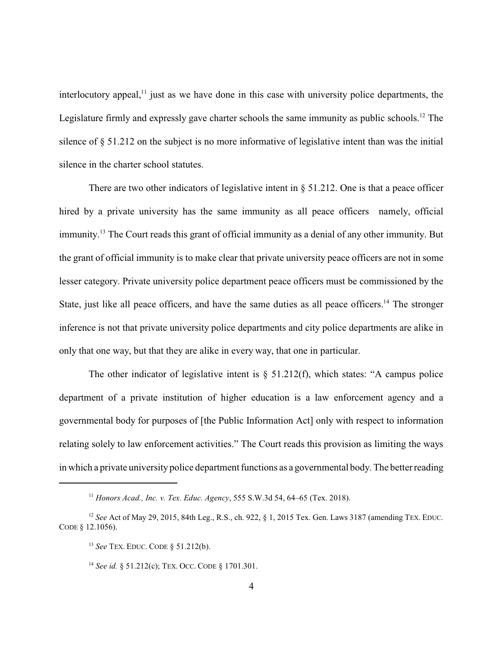interlocutory appeal, $<sup>11</sup>$  just as we have done in this case with university police departments, the</sup> Legislature firmly and expressly gave charter schools the same immunity as public schools.<sup>12</sup> The silence of § 51.212 on the subject is no more informative of legislative intent than was the initial silence in the charter school statutes.

There are two other indicators of legislative intent in  $\S$  51.212. One is that a peace officer hired by a private university has the same immunity as all peace officers namely, official immunity.<sup>13</sup> The Court reads this grant of official immunity as a denial of any other immunity. But the grant of official immunity is to make clear that private university peace officers are not in some lesser category. Private university police department peace officers must be commissioned by the State, just like all peace officers, and have the same duties as all peace officers.<sup>14</sup> The stronger inference is not that private university police departments and city police departments are alike in only that one way, but that they are alike in every way, that one in particular.

The other indicator of legislative intent is  $\S$  51.212(f), which states: "A campus police department of a private institution of higher education is a law enforcement agency and a governmental body for purposes of [the Public Information Act] only with respect to information relating solely to law enforcement activities." The Court reads this provision as limiting the ways in which a private university police department functions as a governmental body. The better reading

<sup>11</sup> *Honors Acad., Inc. v. Tex. Educ. Agency*, 555 S.W.3d 54, 64–65 (Tex. 2018).

<sup>&</sup>lt;sup>12</sup> *See* Act of May 29, 2015, 84th Leg., R.S., ch. 922, § 1, 2015 Tex. Gen. Laws 3187 (amending TEX. EDUC. CODE § 12.1056).

<sup>13</sup> *See* TEX. EDUC. CODE § 51.212(b).

<sup>14</sup> *See id.* § 51.212(c); TEX. OCC. CODE § 1701.301.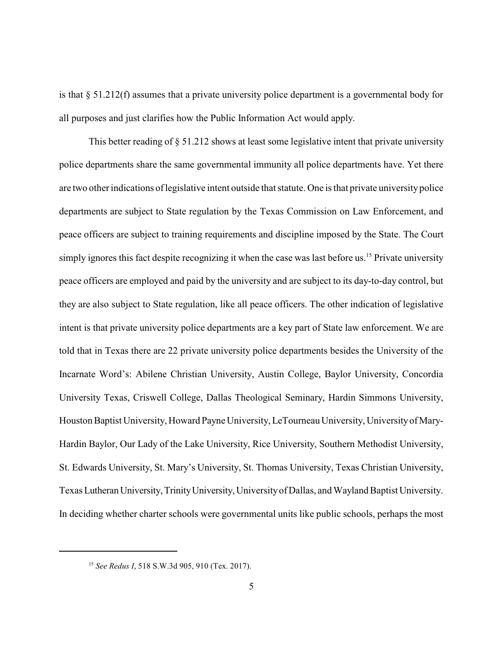is that § 51.212(f) assumes that a private university police department is a governmental body for all purposes and just clarifies how the Public Information Act would apply.

This better reading of § 51.212 shows at least some legislative intent that private university police departments share the same governmental immunity all police departments have. Yet there are two other indications of legislative intent outside that statute. One is that private university police departments are subject to State regulation by the Texas Commission on Law Enforcement, and peace officers are subject to training requirements and discipline imposed by the State. The Court simply ignores this fact despite recognizing it when the case was last before us.<sup>15</sup> Private university peace officers are employed and paid by the university and are subject to its day-to-day control, but they are also subject to State regulation, like all peace officers. The other indication of legislative intent is that private university police departments are a key part of State law enforcement. We are told that in Texas there are 22 private university police departments besides the University of the Incarnate Word's: Abilene Christian University, Austin College, Baylor University, Concordia University Texas, Criswell College, Dallas Theological Seminary, Hardin Simmons University, Houston Baptist University, Howard Payne University, LeTourneau University, Universityof Mary-Hardin Baylor, Our Lady of the Lake University, Rice University, Southern Methodist University, St. Edwards University, St. Mary's University, St. Thomas University, Texas Christian University, Texas LutheranUniversity,TrinityUniversity, Universityof Dallas, and Wayland Baptist University. In deciding whether charter schools were governmental units like public schools, perhaps the most

<sup>15</sup> *See Redus I*, 518 S.W.3d 905, 910 (Tex. 2017).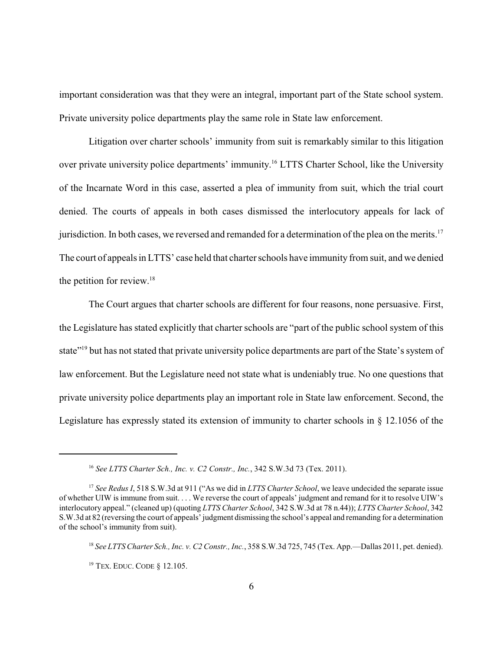important consideration was that they were an integral, important part of the State school system. Private university police departments play the same role in State law enforcement.

Litigation over charter schools' immunity from suit is remarkably similar to this litigation over private university police departments' immunity. <sup>16</sup> LTTS Charter School, like the University of the Incarnate Word in this case, asserted a plea of immunity from suit, which the trial court denied. The courts of appeals in both cases dismissed the interlocutory appeals for lack of jurisdiction. In both cases, we reversed and remanded for a determination of the plea on the merits.<sup>17</sup> The court of appeals in LTTS' case held that charter schools have immunity from suit, and we denied the petition for review. $18$ 

The Court argues that charter schools are different for four reasons, none persuasive. First, the Legislature has stated explicitly that charter schools are "part of the public school system of this state"<sup>19</sup> but has not stated that private university police departments are part of the State's system of law enforcement. But the Legislature need not state what is undeniably true. No one questions that private university police departments play an important role in State law enforcement. Second, the Legislature has expressly stated its extension of immunity to charter schools in § 12.1056 of the

<sup>16</sup> *See LTTS Charter Sch., Inc. v. C2 Constr., Inc.*, 342 S.W.3d 73 (Tex. 2011).

<sup>17</sup> *See Redus I*, 518 S.W.3d at 911 ("As we did in *LTTS Charter School*, we leave undecided the separate issue of whether UIW is immune from suit. . . . We reverse the court of appeals' judgment and remand for it to resolve UIW's interlocutory appeal." (cleaned up) (quoting *LTTS Charter School*, 342 S.W.3d at 78 n.44)); *LTTS Charter School*, 342 S.W.3d at 82 (reversing the court of appeals'judgment dismissing the school's appeal and remanding for a determination of the school's immunity from suit).

<sup>18</sup> *See LTTS Charter Sch., Inc. v. C2 Constr., Inc.*, 358 S.W.3d 725, 745 (Tex. App.—Dallas 2011, pet. denied).

<sup>19</sup> TEX. EDUC. CODE § 12.105.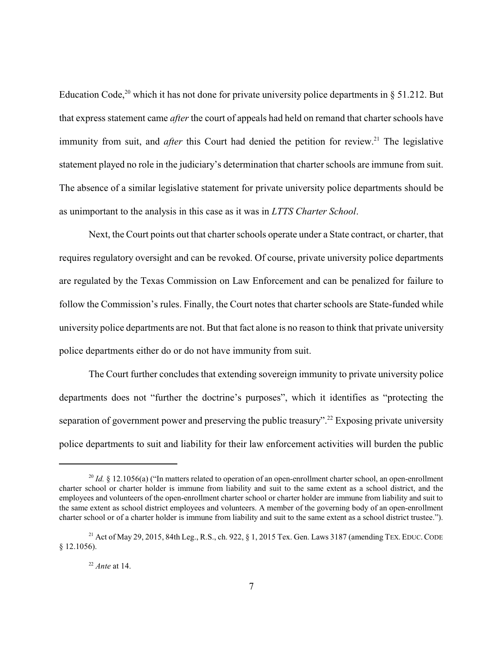Education Code,<sup>20</sup> which it has not done for private university police departments in  $\S 51.212$ . But that express statement came *after* the court of appeals had held on remand that charter schools have immunity from suit, and *after* this Court had denied the petition for review.<sup>21</sup> The legislative statement played no role in the judiciary's determination that charter schools are immune from suit. The absence of a similar legislative statement for private university police departments should be as unimportant to the analysis in this case as it was in *LTTS Charter School*.

Next, the Court points out that charter schools operate under a State contract, or charter, that requires regulatory oversight and can be revoked. Of course, private university police departments are regulated by the Texas Commission on Law Enforcement and can be penalized for failure to follow the Commission's rules. Finally, the Court notes that charter schools are State-funded while university police departments are not. But that fact alone is no reason to think that private university police departments either do or do not have immunity from suit.

The Court further concludes that extending sovereign immunity to private university police departments does not "further the doctrine's purposes", which it identifies as "protecting the separation of government power and preserving the public treasury".<sup>22</sup> Exposing private university police departments to suit and liability for their law enforcement activities will burden the public

<sup>&</sup>lt;sup>20</sup> *Id.* § 12.1056(a) ("In matters related to operation of an open-enrollment charter school, an open-enrollment charter school or charter holder is immune from liability and suit to the same extent as a school district, and the employees and volunteers of the open-enrollment charter school or charter holder are immune from liability and suit to the same extent as school district employees and volunteers. A member of the governing body of an open-enrollment charter school or of a charter holder is immune from liability and suit to the same extent as a school district trustee.").

<sup>&</sup>lt;sup>21</sup> Act of May 29, 2015, 84th Leg., R.S., ch. 922,  $\S$  1, 2015 Tex. Gen. Laws 3187 (amending TEX. EDUC. CODE § 12.1056).

<sup>22</sup> *Ante* at 14.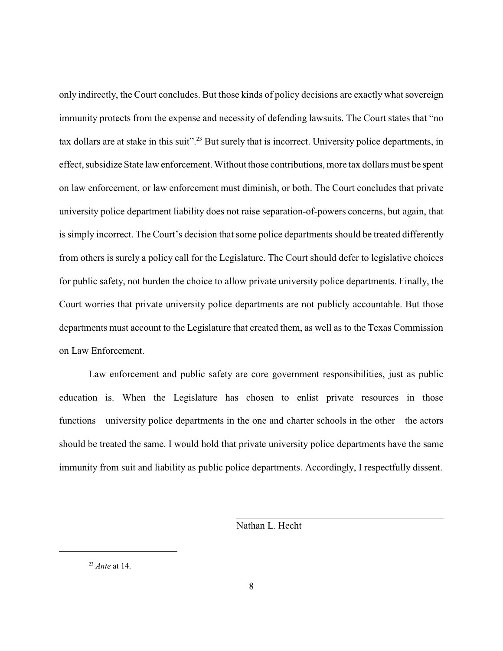only indirectly, the Court concludes. But those kinds of policy decisions are exactly what sovereign immunity protects from the expense and necessity of defending lawsuits. The Court states that "no tax dollars are at stake in this suit".<sup>23</sup> But surely that is incorrect. University police departments, in effect, subsidize State law enforcement. Without those contributions, more tax dollars must be spent on law enforcement, or law enforcement must diminish, or both. The Court concludes that private university police department liability does not raise separation-of-powers concerns, but again, that is simply incorrect. The Court's decision that some police departments should be treated differently from others is surely a policy call for the Legislature. The Court should defer to legislative choices for public safety, not burden the choice to allow private university police departments. Finally, the Court worries that private university police departments are not publicly accountable. But those departments must account to the Legislature that created them, as well as to the Texas Commission on Law Enforcement.

Law enforcement and public safety are core government responsibilities, just as public education is. When the Legislature has chosen to enlist private resources in those functions university police departments in the one and charter schools in the other the actors should be treated the same. I would hold that private university police departments have the same immunity from suit and liability as public police departments. Accordingly, I respectfully dissent.

Nathan L. Hecht

<sup>23</sup> *Ante* at 14.